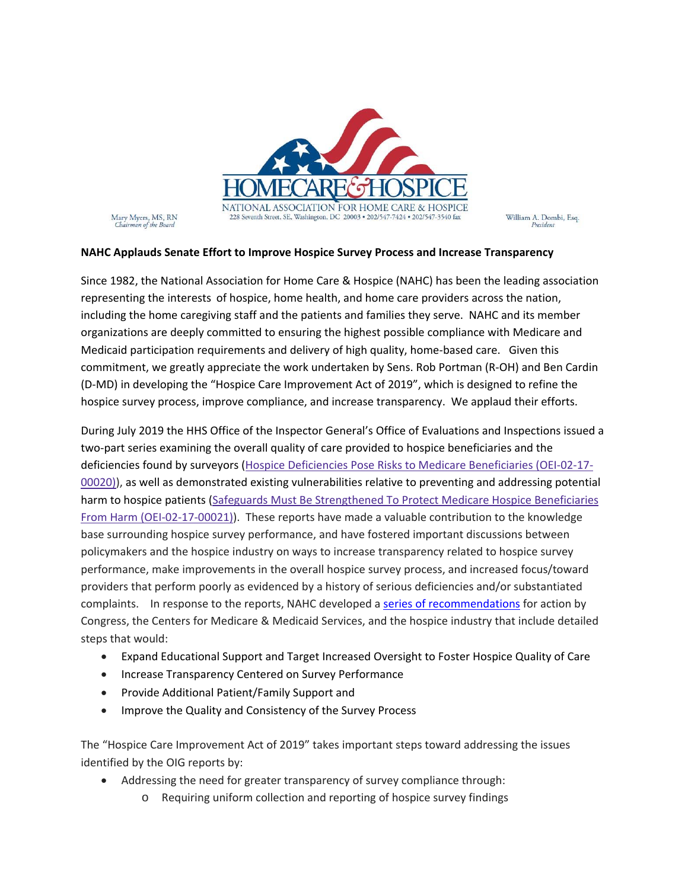

Mary Myers, MS, RN<br>Chairman of the Board

William A. Dombi, Esq.

## **NAHC Applauds Senate Effort to Improve Hospice Survey Process and Increase Transparency**

Since 1982, the National Association for Home Care & Hospice (NAHC) has been the leading association representing the interests of hospice, home health, and home care providers across the nation, including the home caregiving staff and the patients and families they serve. NAHC and its member organizations are deeply committed to ensuring the highest possible compliance with Medicare and Medicaid participation requirements and delivery of high quality, home-based care. Given this commitment, we greatly appreciate the work undertaken by Sens. Rob Portman (R‐OH) and Ben Cardin (D‐MD) in developing the "Hospice Care Improvement Act of 2019", which is designed to refine the hospice survey process, improve compliance, and increase transparency. We applaud their efforts.

During July 2019 the HHS Office of the Inspector General's Office of Evaluations and Inspections issued a two‐part series examining the overall quality of care provided to hospice beneficiaries and the deficiencies found by surveyors (Hospice Deficiencies Pose Risks to Medicare Beneficiaries (OEI‐02‐17‐ 00020)), as well as demonstrated existing vulnerabilities relative to preventing and addressing potential harm to hospice patients (Safeguards Must Be Strengthened To Protect Medicare Hospice Beneficiaries From Harm (OEI‐02‐17‐00021)). These reports have made a valuable contribution to the knowledge base surrounding hospice survey performance, and have fostered important discussions between policymakers and the hospice industry on ways to increase transparency related to hospice survey performance, make improvements in the overall hospice survey process, and increased focus/toward providers that perform poorly as evidenced by a history of serious deficiencies and/or substantiated complaints. In response to the reports, NAHC developed a series of recommendations for action by Congress, the Centers for Medicare & Medicaid Services, and the hospice industry that include detailed steps that would:

- Expand Educational Support and Target Increased Oversight to Foster Hospice Quality of Care
- Increase Transparency Centered on Survey Performance
- Provide Additional Patient/Family Support and
- Improve the Quality and Consistency of the Survey Process

The "Hospice Care Improvement Act of 2019" takes important steps toward addressing the issues identified by the OIG reports by:

- Addressing the need for greater transparency of survey compliance through:
	- o Requiring uniform collection and reporting of hospice survey findings